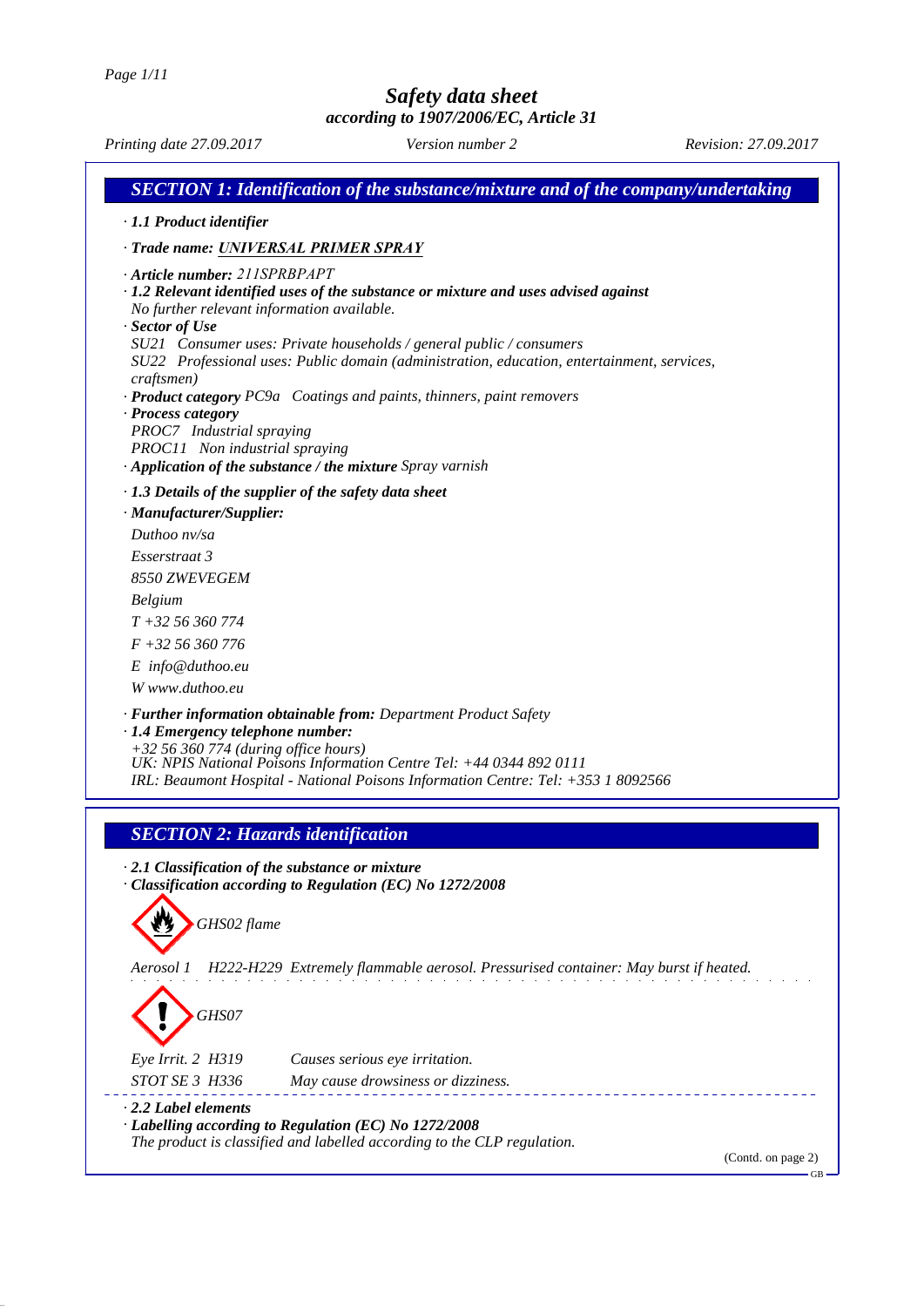*Printing date 27.09.2017 Version number 2 Revision: 27.09.2017 SECTION 1: Identification of the substance/mixture and of the company/undertaking · 1.1 Product identifier · Trade name: UNIVERSAL PRIMER SPRAY · Article number: 211SPRBPAPT · 1.2 Relevant identified uses of the substance or mixture and uses advised against No further relevant information available. · Sector of Use SU21 Consumer uses: Private households / general public / consumers SU22 Professional uses: Public domain (administration, education, entertainment, services, craftsmen) · Product category PC9a Coatings and paints, thinners, paint removers · Process category PROC7 Industrial spraying PROC11 Non industrial spraying · Application of the substance / the mixture Spray varnish · 1.3 Details of the supplier of the safety data sheet · Manufacturer/Supplier: Duthoo nv/sa Esserstraat 3 8550 ZWEVEGEM Belgium T +32 56 360 774 F +32 56 360 776 E info@duthoo.eu W www.duthoo.eu · Further information obtainable from: Department Product Safety · 1.4 Emergency telephone number: +32 56 360 774 (during office hours) UK: NPIS National Poisons Information Centre Tel: +44 0344 892 0111 IRL: Beaumont Hospital - National Poisons Information Centre: Tel: +353 1 8092566*

## *SECTION 2: Hazards identification*

*· 2.1 Classification of the substance or mixture · Classification according to Regulation (EC) No 1272/2008*

*GHS02 flame*

*Aerosol 1 H222-H229 Extremely flammable aerosol. Pressurised container: May burst if heated.*

*GHS07 Eye Irrit. 2 H319 Causes serious eye irritation. STOT SE 3 H336 May cause drowsiness or dizziness. · 2.2 Label elements*

*· Labelling according to Regulation (EC) No 1272/2008 The product is classified and labelled according to the CLP regulation.*

(Contd. on page 2)

GB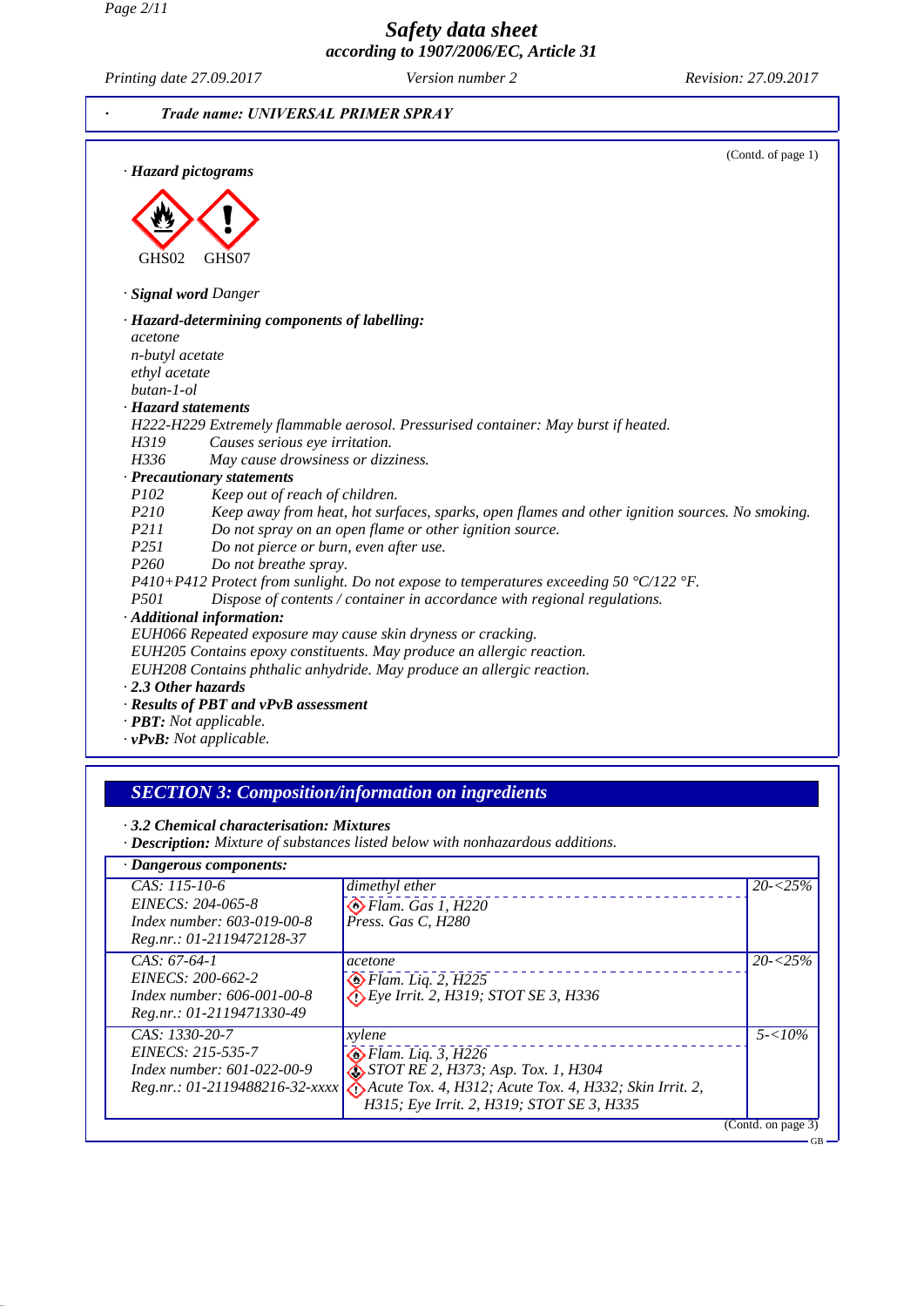*Page 2/11*

*Safety data sheet according to 1907/2006/EC, Article 31*

*Printing date 27.09.2017 Version number 2 Revision: 27.09.2017*



# *SECTION 3: Composition/information on ingredients*

*· 3.2 Chemical characterisation: Mixtures*

*· Description: Mixture of substances listed below with nonhazardous additions.*

| $CAS: 115-10-6$                                         | dimethyl ether                                                                          | $20 - 25\%$        |
|---------------------------------------------------------|-----------------------------------------------------------------------------------------|--------------------|
| EINECS: 204-065-8                                       | $\bigotimes$ Flam. Gas 1, H220                                                          |                    |
| Index number: 603-019-00-8<br>Reg.nr.: 01-2119472128-37 | Press. Gas C, H280                                                                      |                    |
| $CAS: 67-64-1$                                          | acetone                                                                                 | $20 - 5\%$         |
| EINECS: 200-662-2                                       | $\bigotimes$ Flam. Liq. 2, H225                                                         |                    |
| Index number: $606 - 001 - 00 - 8$                      | $\bigotimes$ Eye Irrit. 2, H319; STOT SE 3, H336                                        |                    |
| Reg.nr.: 01-2119471330-49                               |                                                                                         |                    |
| $CAS: 1330-20-7$                                        | xylene                                                                                  | $5 - 10\%$         |
| EINECS: 215-535-7                                       | $\bullet$ Flam. Liq. 3, H226                                                            |                    |
| Index number: $601-022-00-9$                            | $\bullet$ STOT RE 2, H373; Asp. Tox. 1, H304                                            |                    |
|                                                         | Reg.nr.: 01-2119488216-32-xxxx A H and Tox. 4, H312; Acute Tox. 4, H332; Skin Irrit. 2, |                    |
|                                                         | H315; Eye Irrit. 2, H319; STOT SE 3, H335                                               |                    |
|                                                         |                                                                                         | (Contd. on page 3) |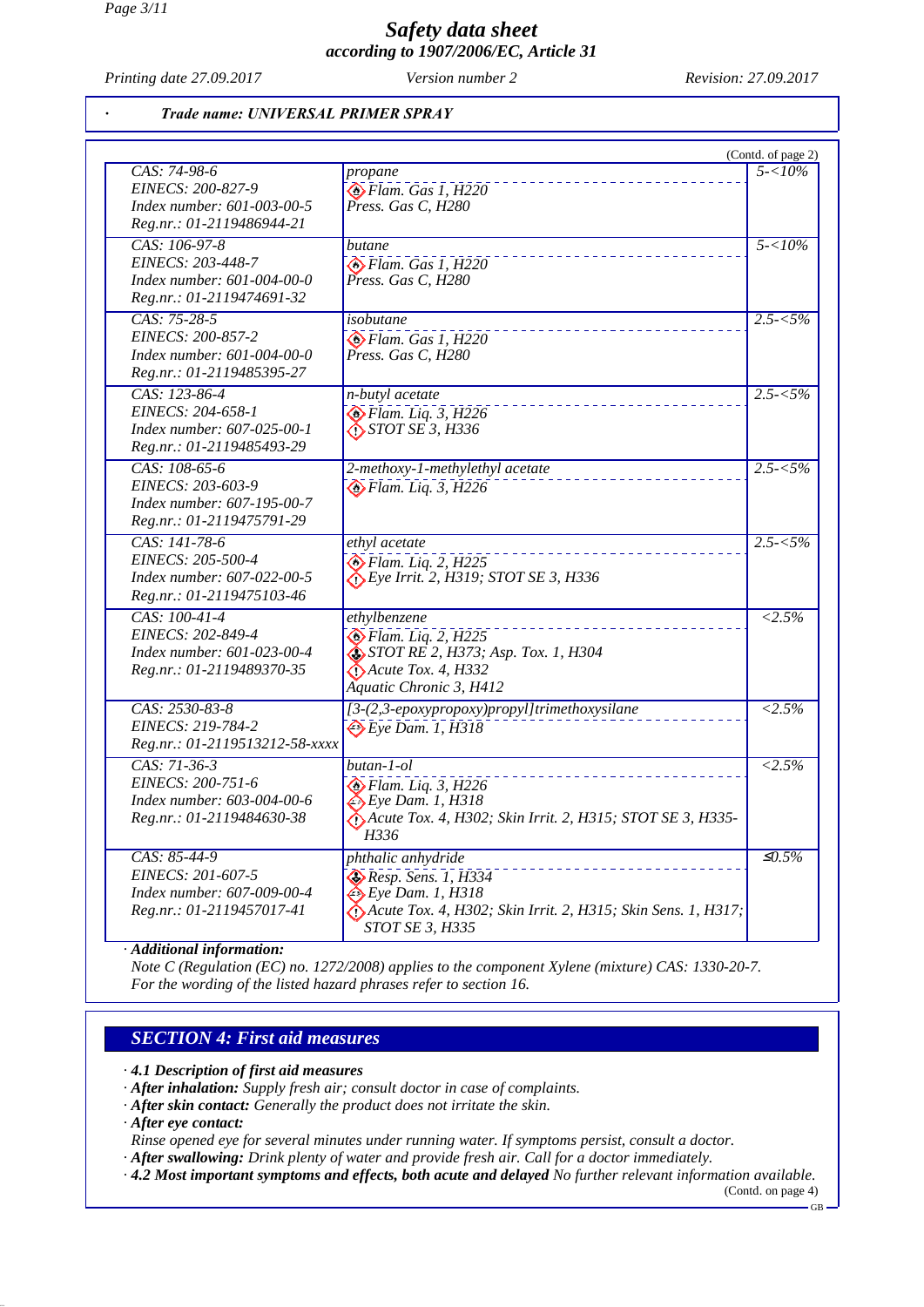*Printing date 27.09.2017 Version number 2 Revision: 27.09.2017*

#### *· Trade name: UNIVERSAL PRIMER SPRAY*

| CAS: 74-98-6                                                                                   | propane                                                                                                                                                            | (Contd. of page 2)<br>$5 - 10\%$ |
|------------------------------------------------------------------------------------------------|--------------------------------------------------------------------------------------------------------------------------------------------------------------------|----------------------------------|
| EINECS: 200-827-9<br>Index number: 601-003-00-5<br>Reg.nr.: 01-2119486944-21                   | $\bigotimes$ Flam. Gas 1, H220<br>Press. Gas C, H280                                                                                                               |                                  |
| CAS: 106-97-8<br>EINECS: 203-448-7<br>Index number: 601-004-00-0<br>Reg.nr.: 01-2119474691-32  | butane<br>$\bigotimes$ Flam. Gas 1, H220<br>Press. Gas C, H280                                                                                                     | $5 - 10\%$                       |
| CAS: 75-28-5<br>EINECS: 200-857-2<br>Index number: 601-004-00-0<br>Reg.nr.: 01-2119485395-27   | isobutane<br>$\bigotimes$ Flam. Gas 1, H220<br>Press. Gas C, H280                                                                                                  | $2.5 - 5\%$                      |
| CAS: 123-86-4<br>EINECS: 204-658-1<br>Index number: 607-025-00-1<br>Reg.nr.: 01-2119485493-29  | n-butyl acetate<br>$\bullet$ Flam. Liq. 3, H226<br>$\bigotimes$ STOT SE 3, H336                                                                                    | $2.5 - 5\%$                      |
| CAS: 108-65-6<br>EINECS: 203-603-9<br>Index number: 607-195-00-7<br>Reg.nr.: 01-2119475791-29  | 2-methoxy-1-methylethyl acetate<br>$\bigcirc$ Flam. Liq. 3, H226                                                                                                   | $2.5 - 5\%$                      |
| CAS: 141-78-6<br>EINECS: 205-500-4<br>Index number: 607-022-00-5<br>Reg.nr.: 01-2119475103-46  | ethyl acetate<br>$\diamondsuit$ Flam. Liq. 2, H225<br>$\bigcirc$ Eye Irrit. 2, H319; STOT SE 3, H336                                                               | $2.5 - 5\%$                      |
| CAS: 100-41-4<br>EINECS: 202-849-4<br>Index number: 601-023-00-4<br>Reg.nr.: 01-2119489370-35  | ethylbenzene<br>$\bigotimes$ Flam. Liq. 2, H225<br>$\sum$ STOT RE 2, H373; Asp. Tox. 1, H304<br>$\bigwedge$ Acute Tox. 4, H332<br>Aquatic Chronic 3, H412          | $< 2.5\%$                        |
| CAS: 2530-83-8<br>EINECS: 219-784-2<br>Reg.nr.: 01-2119513212-58-xxxx                          | [3-(2,3-epoxypropoxy)propyl]trimethoxysilane<br>$\leftrightarrow$ Eye Dam. 1, H318                                                                                 | $< 2.5\%$                        |
| $CAS: 71-36-3$<br>EINECS: 200-751-6<br>Index number: 603-004-00-6<br>Reg.nr.: 01-2119484630-38 | $butan-1-ol$<br>Flam. Liq. 3, H226<br>$\leftrightarrow$ Eye Dam. 1, H318<br>Acute Tox. 4, H302; Skin Irrit. 2, H315; STOT SE 3, H335-<br>H336                      | $\overline{2.5\%}$               |
| CAS: 85-44-9<br>EINECS: 201-607-5<br>Index number: 607-009-00-4<br>Reg.nr.: 01-2119457017-41   | phthalic anhydride<br>$\clubsuit$ Resp. Sens. 1, H334<br>$\xi$ Eye Dam. 1, H318<br>Acute Tox. 4, H302; Skin Irrit. 2, H315; Skin Sens. 1, H317;<br>STOT SE 3, H335 | $\overline{\mathcal{L}0.5\%}$    |

*Note C (Regulation (EC) no. 1272/2008) applies to the component Xylene (mixture) CAS: 1330-20-7. For the wording of the listed hazard phrases refer to section 16.*

## *SECTION 4: First aid measures*

*· 4.1 Description of first aid measures*

*· After inhalation: Supply fresh air; consult doctor in case of complaints.*

*· After skin contact: Generally the product does not irritate the skin.*

*· After eye contact:*

*Rinse opened eye for several minutes under running water. If symptoms persist, consult a doctor.*

*· After swallowing: Drink plenty of water and provide fresh air. Call for a doctor immediately.*

*· 4.2 Most important symptoms and effects, both acute and delayed No further relevant information available.*

(Contd. on page 4)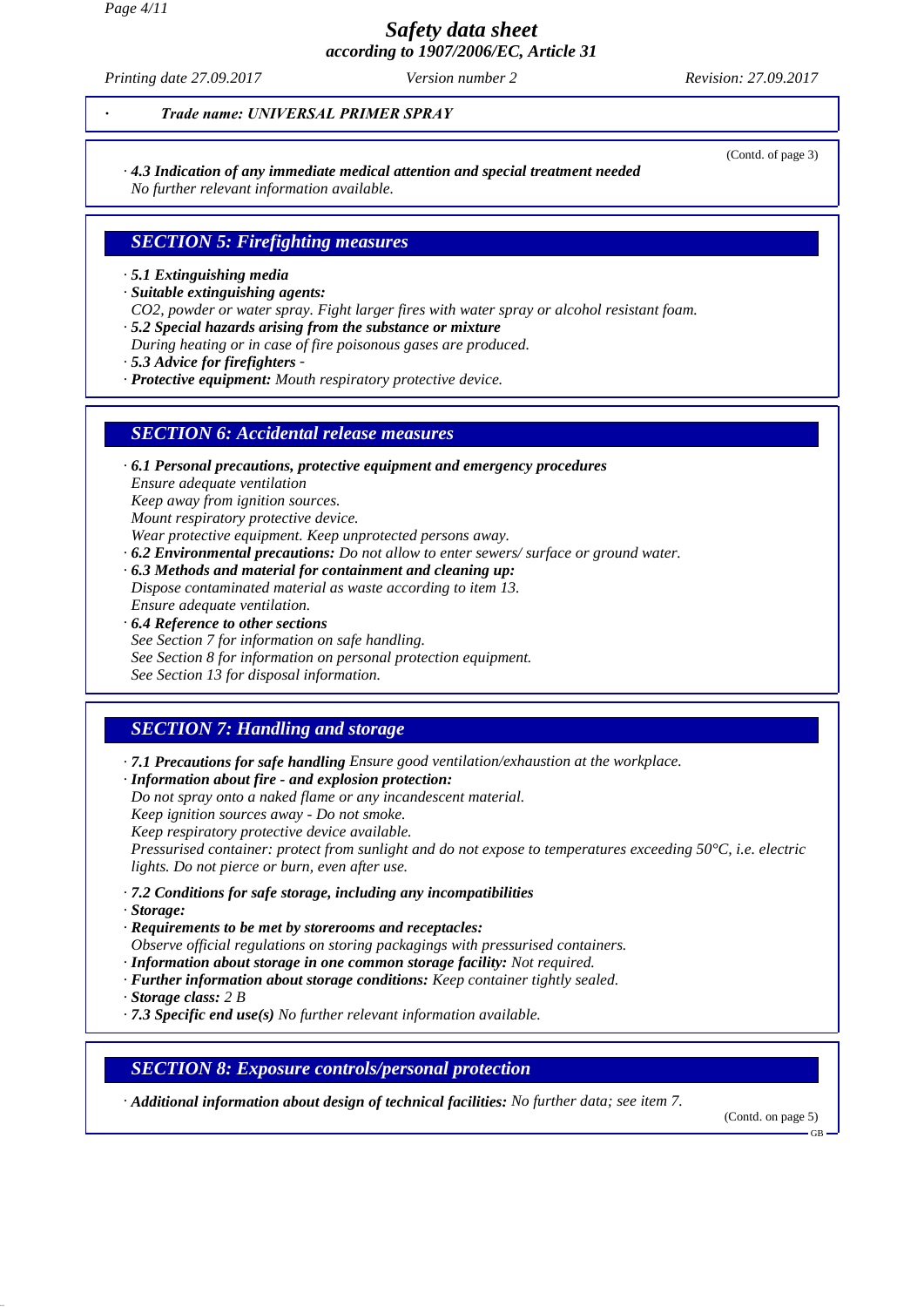*Page 4/11*

*Safety data sheet according to 1907/2006/EC, Article 31*

*Printing date 27.09.2017 Version number 2 Revision: 27.09.2017*

(Contd. of page 3)

*· Trade name: UNIVERSAL PRIMER SPRAY*

*· 4.3 Indication of any immediate medical attention and special treatment needed*

*No further relevant information available.*

# *SECTION 5: Firefighting measures*

- *· 5.1 Extinguishing media*
- *· Suitable extinguishing agents:*
- *CO2, powder or water spray. Fight larger fires with water spray or alcohol resistant foam.*
- *· 5.2 Special hazards arising from the substance or mixture*
- *During heating or in case of fire poisonous gases are produced.*
- *· 5.3 Advice for firefighters -*
- *· Protective equipment: Mouth respiratory protective device.*

## *SECTION 6: Accidental release measures*

*· 6.1 Personal precautions, protective equipment and emergency procedures Ensure adequate ventilation Keep away from ignition sources. Mount respiratory protective device.*

- *Wear protective equipment. Keep unprotected persons away.*
- *· 6.2 Environmental precautions: Do not allow to enter sewers/ surface or ground water.*
- *· 6.3 Methods and material for containment and cleaning up: Dispose contaminated material as waste according to item 13. Ensure adequate ventilation.*
- *· 6.4 Reference to other sections*
- *See Section 7 for information on safe handling. See Section 8 for information on personal protection equipment. See Section 13 for disposal information.*

# *SECTION 7: Handling and storage*

*· 7.1 Precautions for safe handling Ensure good ventilation/exhaustion at the workplace.*

*· Information about fire - and explosion protection:*

*Do not spray onto a naked flame or any incandescent material.*

*Keep ignition sources away - Do not smoke.*

*Keep respiratory protective device available.*

*Pressurised container: protect from sunlight and do not expose to temperatures exceeding 50°C, i.e. electric lights. Do not pierce or burn, even after use.*

- *· 7.2 Conditions for safe storage, including any incompatibilities*
- *· Storage:*
- *· Requirements to be met by storerooms and receptacles:*
- *Observe official regulations on storing packagings with pressurised containers.*
- *· Information about storage in one common storage facility: Not required.*
- *· Further information about storage conditions: Keep container tightly sealed.*
- *· Storage class: 2 B*
- *· 7.3 Specific end use(s) No further relevant information available.*

## *SECTION 8: Exposure controls/personal protection*

*· Additional information about design of technical facilities: No further data; see item 7.*

(Contd. on page 5)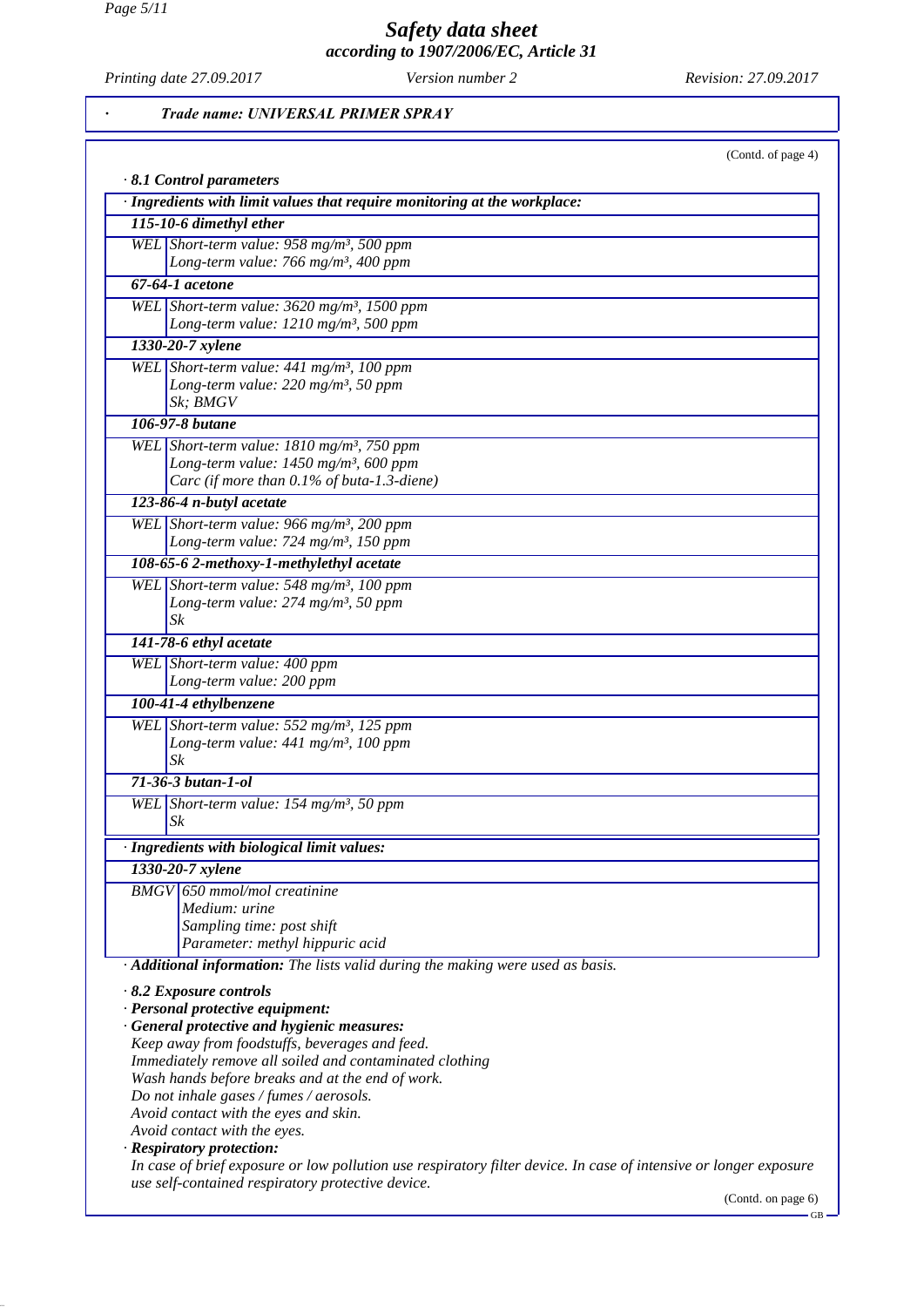*Page 5/11*

# *Safety data sheet according to 1907/2006/EC, Article 31*

*Printing date 27.09.2017 Version number 2 Revision: 27.09.2017*

GB

*· Trade name: UNIVERSAL PRIMER SPRAY*

| · Ingredients with limit values that require monitoring at the workplace:                                         |
|-------------------------------------------------------------------------------------------------------------------|
| 115-10-6 dimethyl ether                                                                                           |
| WEL Short-term value: $958 \text{ mg/m}^3$ , 500 ppm                                                              |
| Long-term value: 766 mg/m <sup>3</sup> , 400 ppm                                                                  |
| 67-64-1 acetone                                                                                                   |
| WEL Short-term value: $3620$ mg/m <sup>3</sup> , 1500 ppm                                                         |
| Long-term value: 1210 mg/m <sup>3</sup> , 500 ppm                                                                 |
| 1330-20-7 xylene                                                                                                  |
| WEL Short-term value: $441$ mg/m <sup>3</sup> , 100 ppm                                                           |
| Long-term value: 220 mg/m <sup>3</sup> , 50 ppm                                                                   |
| Sk: BMGV                                                                                                          |
| 106-97-8 butane                                                                                                   |
| WEL Short-term value: $1810$ mg/m <sup>3</sup> , 750 ppm                                                          |
| Long-term value: 1450 mg/m <sup>3</sup> , 600 ppm                                                                 |
| Carc (if more than 0.1% of buta-1.3-diene)                                                                        |
| 123-86-4 n-butyl acetate                                                                                          |
| WEL Short-term value: 966 mg/m <sup>3</sup> , 200 ppm                                                             |
| Long-term value: 724 mg/m <sup>3</sup> , 150 ppm                                                                  |
| 108-65-6 2-methoxy-1-methylethyl acetate                                                                          |
| WEL Short-term value: 548 mg/m <sup>3</sup> , 100 ppm                                                             |
| Long-term value: 274 mg/m <sup>3</sup> , 50 ppm                                                                   |
| $S_k$                                                                                                             |
| 141-78-6 ethyl acetate                                                                                            |
| WEL Short-term value: 400 ppm                                                                                     |
| Long-term value: 200 ppm                                                                                          |
| 100-41-4 ethylbenzene                                                                                             |
| WEL Short-term value: 552 mg/m <sup>3</sup> , 125 ppm                                                             |
| Long-term value: $441$ mg/m <sup>3</sup> , 100 ppm                                                                |
| $S_k$                                                                                                             |
| $71-36-3 but an-1-ol$                                                                                             |
| WEL Short-term value: 154 mg/m <sup>3</sup> , 50 ppm                                                              |
| $S_k$                                                                                                             |
| Ingredients with biological limit values:                                                                         |
| 1330-20-7 xylene                                                                                                  |
| <b>BMGV</b> 650 mmol/mol creatinine                                                                               |
| Medium: urine                                                                                                     |
| Sampling time: post shift                                                                                         |
| Parameter: methyl hippuric acid                                                                                   |
| · Additional information: The lists valid during the making were used as basis.                                   |
| $\cdot$ 8.2 Exposure controls                                                                                     |
| · Personal protective equipment:                                                                                  |
| · General protective and hygienic measures:                                                                       |
| Keep away from foodstuffs, beverages and feed.                                                                    |
| Immediately remove all soiled and contaminated clothing                                                           |
| Wash hands before breaks and at the end of work.                                                                  |
| Do not inhale gases / fumes / aerosols.<br>Avoid contact with the eyes and skin.                                  |
| Avoid contact with the eyes.                                                                                      |
| · Respiratory protection:                                                                                         |
| In case of brief exposure or low pollution use respiratory filter device. In case of intensive or longer exposure |
| use self-contained respiratory protective device.                                                                 |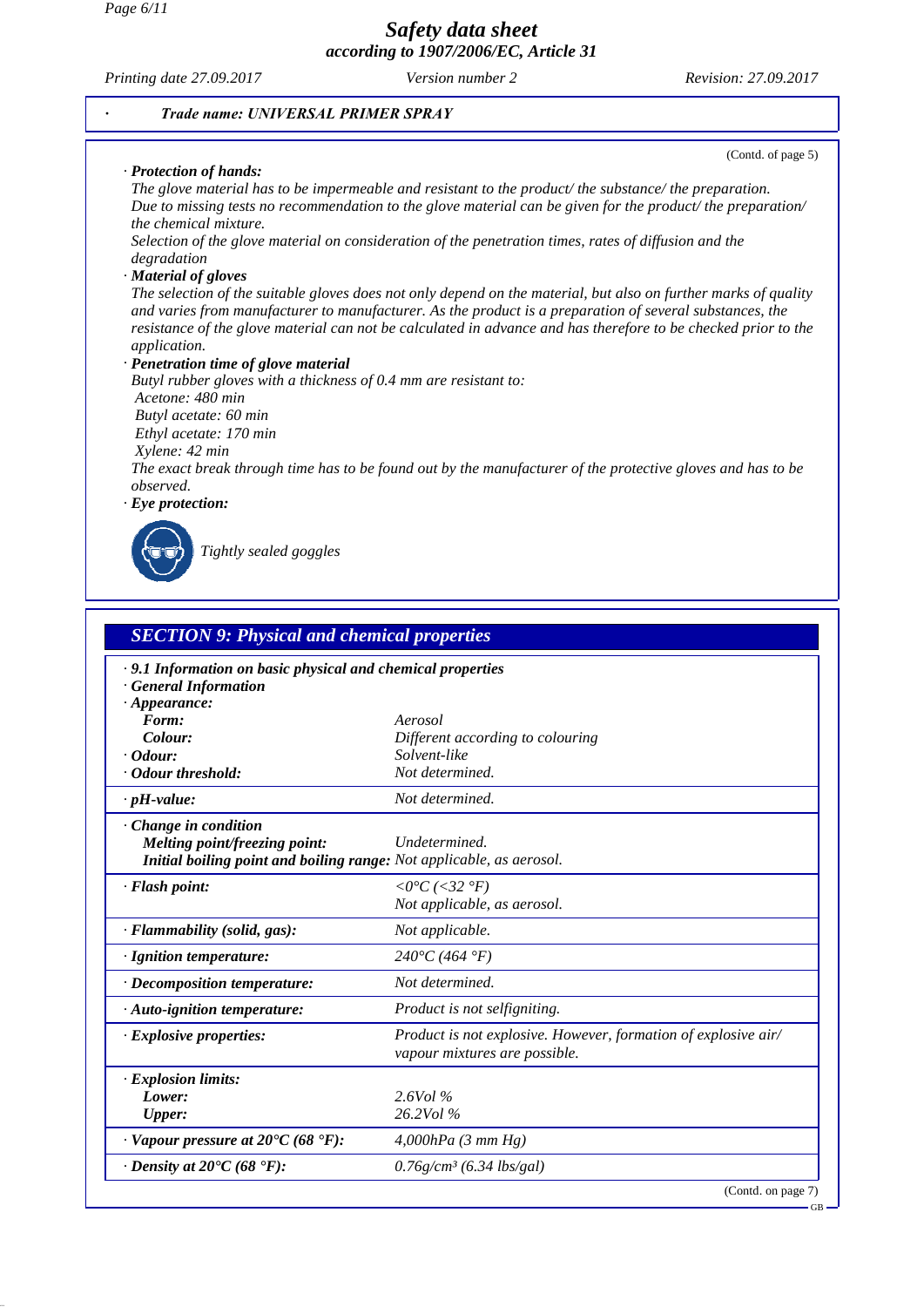*Page 6/11*

*Safety data sheet according to 1907/2006/EC, Article 31*

*Printing date 27.09.2017 Version number 2 Revision: 27.09.2017*

#### *· Trade name: UNIVERSAL PRIMER SPRAY*

#### *· Protection of hands:*

(Contd. of page 5)

*The glove material has to be impermeable and resistant to the product/ the substance/ the preparation. Due to missing tests no recommendation to the glove material can be given for the product/ the preparation/ the chemical mixture.*

*Selection of the glove material on consideration of the penetration times, rates of diffusion and the degradation*

#### *· Material of gloves*

*The selection of the suitable gloves does not only depend on the material, but also on further marks of quality and varies from manufacturer to manufacturer. As the product is a preparation of several substances, the resistance of the glove material can not be calculated in advance and has therefore to be checked prior to the application.*

*· Penetration time of glove material*

*Butyl rubber gloves with a thickness of 0.4 mm are resistant to: Acetone: 480 min Butyl acetate: 60 min Ethyl acetate: 170 min Xylene: 42 min The exact break through time has to be found out by the manufacturer of the protective gloves and has to be observed.*

*· Eye protection:*

*Tightly sealed goggles*

| <b>SECTION 9: Physical and chemical properties</b><br>· 9.1 Information on basic physical and chemical properties<br>· General Information |                                                                                                 |  |
|--------------------------------------------------------------------------------------------------------------------------------------------|-------------------------------------------------------------------------------------------------|--|
|                                                                                                                                            |                                                                                                 |  |
| Form:<br>Colour:                                                                                                                           | Aerosol                                                                                         |  |
| $\cdot$ Odour:                                                                                                                             | Different according to colouring<br>Solvent-like                                                |  |
| · Odour threshold:                                                                                                                         | Not determined.                                                                                 |  |
|                                                                                                                                            |                                                                                                 |  |
| $\cdot$ pH-value:                                                                                                                          | Not determined.                                                                                 |  |
| $\cdot$ Change in condition<br>Melting point/freezing point:<br>Initial boiling point and boiling range: Not applicable, as aerosol.       | Undetermined.                                                                                   |  |
| · Flash point:                                                                                                                             | $\langle$ = 0°C (<32 °F)<br>Not applicable, as aerosol.                                         |  |
| · Flammability (solid, gas):                                                                                                               | Not applicable.                                                                                 |  |
| · Ignition temperature:                                                                                                                    | $240^{\circ}C(464^{\circ}F)$                                                                    |  |
| $\cdot$ Decomposition temperature:                                                                                                         | Not determined.                                                                                 |  |
| $\cdot$ Auto-ignition temperature:                                                                                                         | Product is not selfigniting.                                                                    |  |
| $\cdot$ Explosive properties:                                                                                                              | Product is not explosive. However, formation of explosive air/<br>vapour mixtures are possible. |  |
| $\cdot$ Explosion limits:                                                                                                                  |                                                                                                 |  |
| Lower:                                                                                                                                     | $2.6$ Vol %                                                                                     |  |
| <b>Upper:</b>                                                                                                                              | 26.2Vol %                                                                                       |  |
| $\cdot$ Vapour pressure at 20°C (68 °F):                                                                                                   | $4,000hPa$ (3 mm Hg)                                                                            |  |
| $\cdot$ Density at 20 $\rm{C}$ (68 $\rm{F}$ ):                                                                                             | $0.76$ g/cm <sup>3</sup> (6.34 lbs/gal)                                                         |  |

(Contd. on page 7)

GB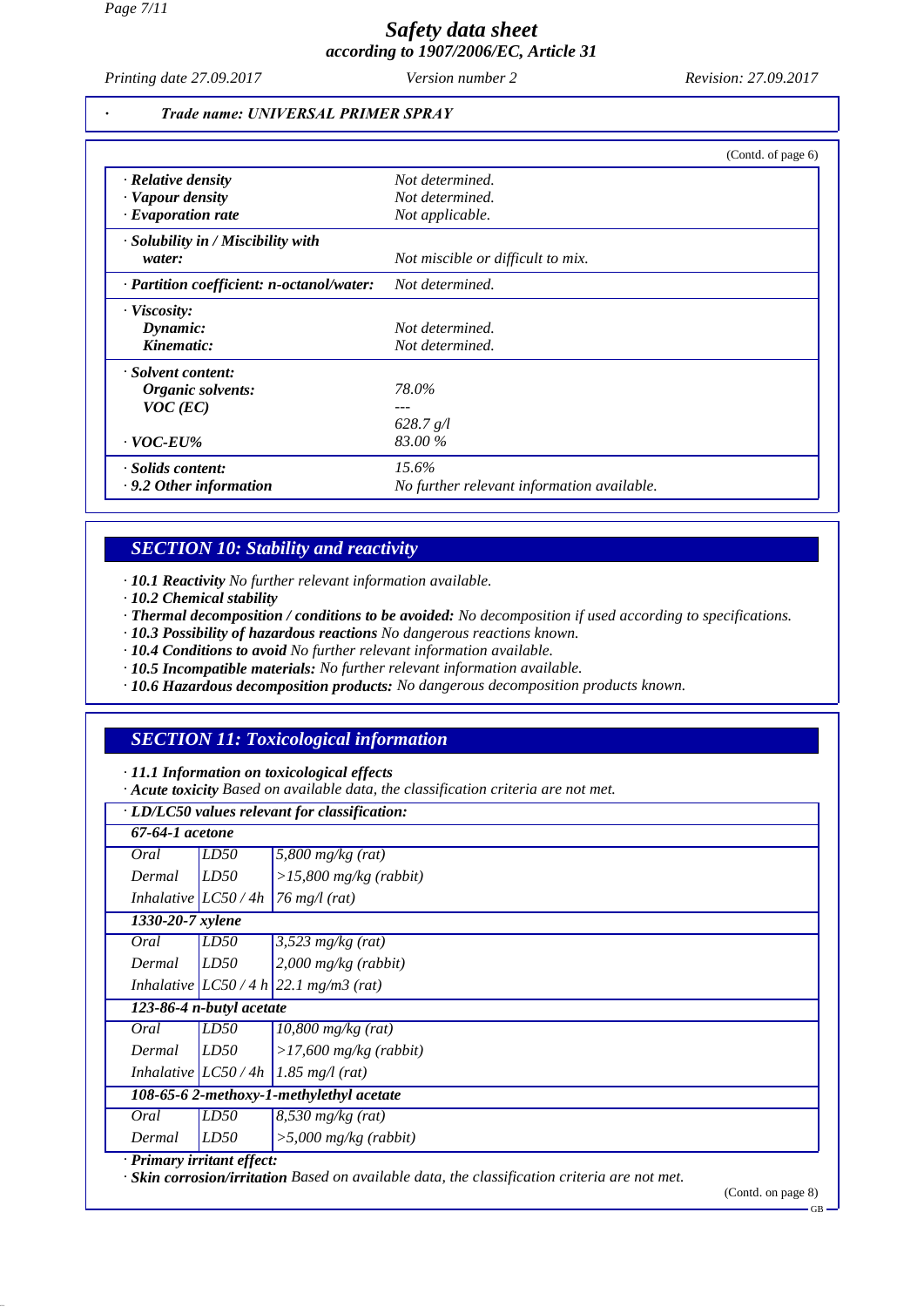*Printing date 27.09.2017 Version number 2 Revision: 27.09.2017*

#### *· Trade name: UNIVERSAL PRIMER SPRAY*

|                                           | (Contd. of page 6)                         |
|-------------------------------------------|--------------------------------------------|
| · Relative density                        | Not determined.                            |
| · Vapour density                          | Not determined.                            |
| $\cdot$ Evaporation rate                  | Not applicable.                            |
| · Solubility in / Miscibility with        |                                            |
| water:                                    | Not miscible or difficult to mix.          |
| · Partition coefficient: n-octanol/water: | Not determined.                            |
| $\cdot$ Viscosity:                        |                                            |
| Dynamic:                                  | Not determined.                            |
| Kinematic:                                | Not determined.                            |
| · Solvent content:                        |                                            |
| Organic solvents:                         | 78.0%                                      |
| $VOC$ (EC)                                |                                            |
|                                           | 628.7 g/l                                  |
| $\cdot$ VOC-EU%                           | 83.00 %                                    |
| · Solids content:                         | $15.6\%$                                   |
| $\cdot$ 9.2 Other information             | No further relevant information available. |

# *SECTION 10: Stability and reactivity*

*· 10.1 Reactivity No further relevant information available.*

- *· 10.2 Chemical stability*
- *· Thermal decomposition / conditions to be avoided: No decomposition if used according to specifications.*
- *· 10.3 Possibility of hazardous reactions No dangerous reactions known.*
- *· 10.4 Conditions to avoid No further relevant information available.*
- *· 10.5 Incompatible materials: No further relevant information available.*
- *· 10.6 Hazardous decomposition products: No dangerous decomposition products known.*

# *SECTION 11: Toxicological information*

*· 11.1 Information on toxicological effects*

*· Acute toxicity Based on available data, the classification criteria are not met.*

| 67-64-1 acetone                          |                          |                                         |
|------------------------------------------|--------------------------|-----------------------------------------|
| Oral                                     | LD50                     | $5,800$ mg/kg (rat)                     |
| Dermal                                   | LD50                     | $>15,800$ mg/kg (rabbit)                |
|                                          | Inhalative $LC50/4h$     | $\frac{76}{3}$ mg/l (rat)               |
| 1330-20-7 xylene                         |                          |                                         |
| Oral                                     | LD50                     | $3,523$ mg/kg (rat)                     |
| Dermal                                   | LD50                     | $2,000$ mg/kg (rabbit)                  |
|                                          |                          | Inhalative $ LCS0/4 h 22.1 mg/m3 (rat)$ |
|                                          | 123-86-4 n-butyl acetate |                                         |
| Oral                                     | LD50                     | $10,800$ mg/kg (rat)                    |
| Dermal                                   | LD50                     | $>17,600$ mg/kg (rabbit)                |
|                                          |                          | Inhalative $ LC50/4h $ 1.85 mg/l (rat)  |
| 108-65-6 2-methoxy-1-methylethyl acetate |                          |                                         |
| Oral                                     | LD50                     | $8,530$ mg/kg (rat)                     |
| Dermal                                   | LD50                     | $>5,000$ mg/kg (rabbit)                 |

*· Skin corrosion/irritation Based on available data, the classification criteria are not met.*

(Contd. on page 8)

GB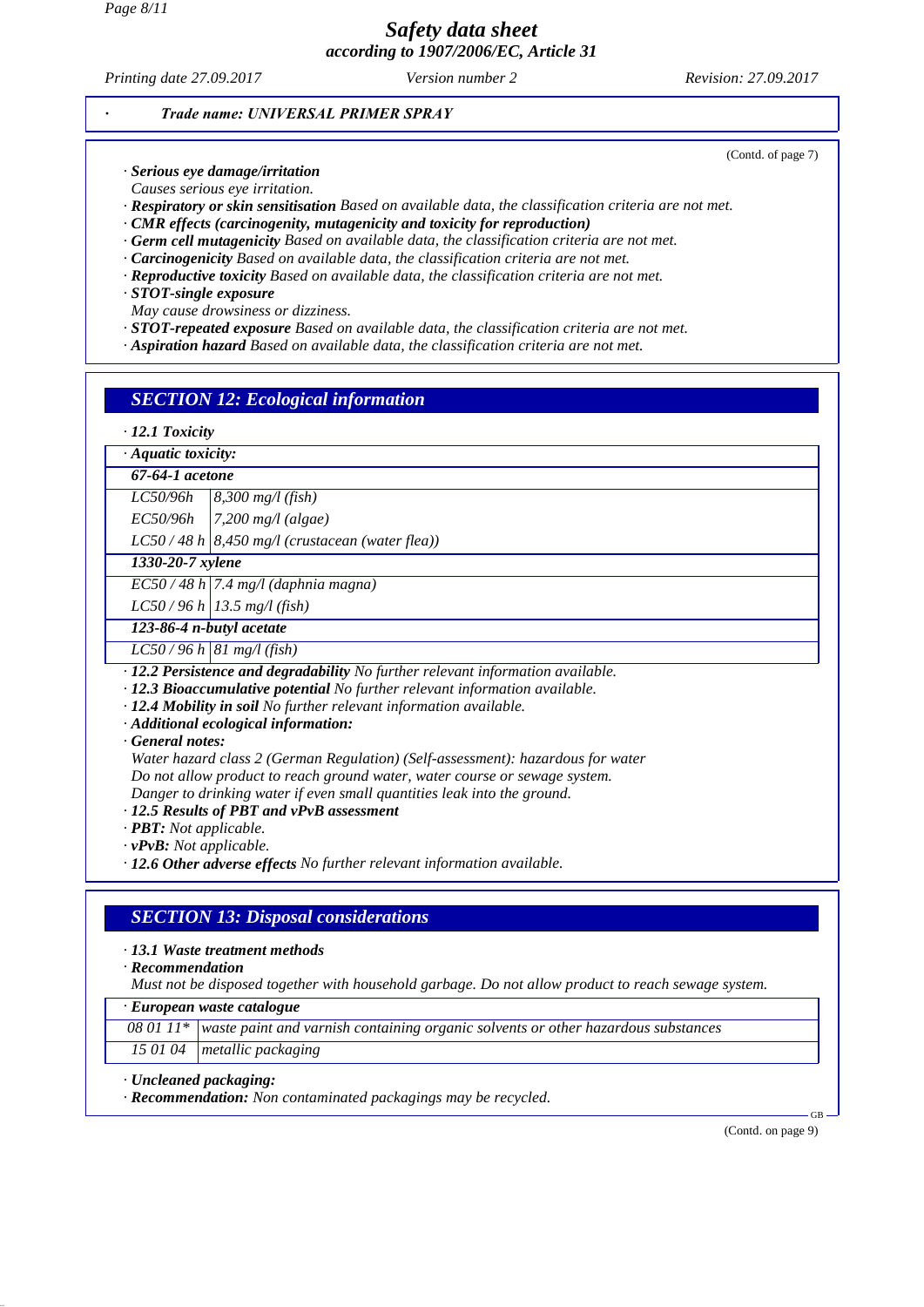*Printing date 27.09.2017 Version number 2 Revision: 27.09.2017*

(Contd. of page 7)

#### *· Trade name: UNIVERSAL PRIMER SPRAY*

*· Serious eye damage/irritation*

*Causes serious eye irritation.*

*· Respiratory or skin sensitisation Based on available data, the classification criteria are not met.*

*· CMR effects (carcinogenity, mutagenicity and toxicity for reproduction)*

*· Germ cell mutagenicity Based on available data, the classification criteria are not met.*

- *· Carcinogenicity Based on available data, the classification criteria are not met.*
- *· Reproductive toxicity Based on available data, the classification criteria are not met.*

*· STOT-single exposure*

*May cause drowsiness or dizziness.*

- *· STOT-repeated exposure Based on available data, the classification criteria are not met.*
- *· Aspiration hazard Based on available data, the classification criteria are not met.*

## *SECTION 12: Ecological information*

#### *· 12.1 Toxicity*

*· Aquatic toxicity:*

*67-64-1 acetone*

*LC50/96h 8,300 mg/l (fish)*

*EC50/96h 7,200 mg/l (algae)*

*LC50 / 48 h 8,450 mg/l (crustacean (water flea))*

*1330-20-7 xylene*

*EC50 / 48 h 7.4 mg/l (daphnia magna)*

*LC50 / 96 h 13.5 mg/l (fish)*

*123-86-4 n-butyl acetate*

*LC50 / 96 h 81 mg/l (fish)*

- *· 12.2 Persistence and degradability No further relevant information available.*
- *· 12.3 Bioaccumulative potential No further relevant information available.*
- *· 12.4 Mobility in soil No further relevant information available.*
- *· Additional ecological information:*

*· General notes:*

*Water hazard class 2 (German Regulation) (Self-assessment): hazardous for water Do not allow product to reach ground water, water course or sewage system. Danger to drinking water if even small quantities leak into the ground.*

*· 12.5 Results of PBT and vPvB assessment*

*· PBT: Not applicable.*

*· vPvB: Not applicable.*

*· 12.6 Other adverse effects No further relevant information available.*

# *SECTION 13: Disposal considerations*

#### *· 13.1 Waste treatment methods*

*· Recommendation*

*Must not be disposed together with household garbage. Do not allow product to reach sewage system.*

*· European waste catalogue*

*08 01 11\* waste paint and varnish containing organic solvents or other hazardous substances*

*15 01 04 metallic packaging*

*· Uncleaned packaging:*

*· Recommendation: Non contaminated packagings may be recycled.*

(Contd. on page 9)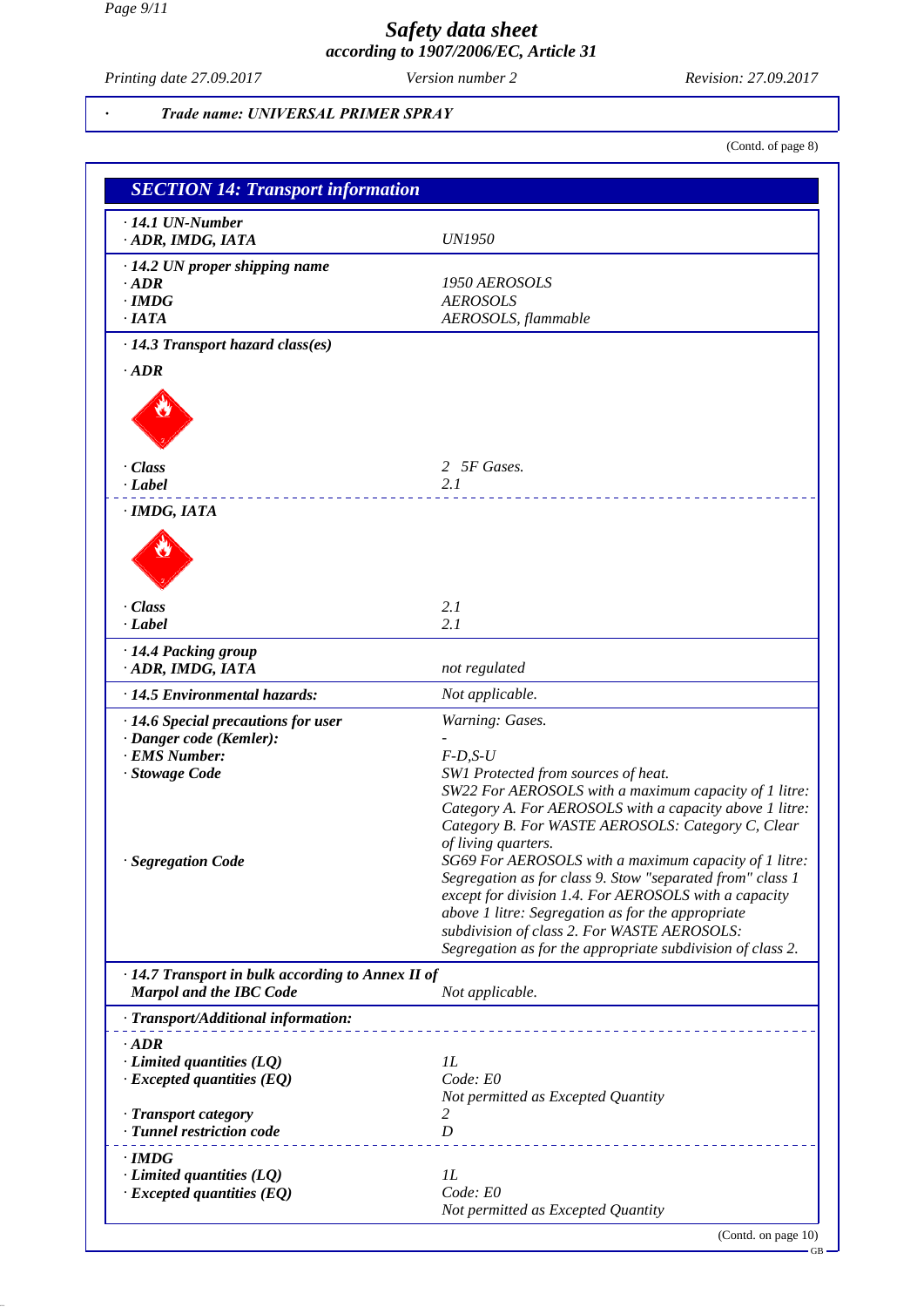*Printing date 27.09.2017 Version number 2 Revision: 27.09.2017*

#### *· Trade name: UNIVERSAL PRIMER SPRAY*

(Contd. of page 8)

| <b>SECTION 14: Transport information</b>          |                                                                                                            |
|---------------------------------------------------|------------------------------------------------------------------------------------------------------------|
| $\cdot$ 14.1 UN-Number                            |                                                                                                            |
| · ADR, IMDG, IATA                                 | <b>UN1950</b>                                                                                              |
| $\cdot$ 14.2 UN proper shipping name              |                                                                                                            |
| $\cdot$ ADR                                       | 1950 AEROSOLS                                                                                              |
| $\cdot$ IMDG                                      | <b>AEROSOLS</b>                                                                                            |
| $\cdot$ IATA                                      | AEROSOLS, flammable                                                                                        |
| $\cdot$ 14.3 Transport hazard class(es)           |                                                                                                            |
| $\cdot$ ADR                                       |                                                                                                            |
|                                                   |                                                                                                            |
|                                                   |                                                                                                            |
|                                                   |                                                                                                            |
| $\cdot$ Class                                     | 2 5F Gases.                                                                                                |
| $\cdot$ Label                                     | 2.1                                                                                                        |
|                                                   |                                                                                                            |
| · IMDG, IATA                                      |                                                                                                            |
|                                                   |                                                                                                            |
|                                                   |                                                                                                            |
|                                                   |                                                                                                            |
| · Class                                           | 2.1                                                                                                        |
| $\cdot$ Label                                     | 2.1                                                                                                        |
| · 14.4 Packing group                              |                                                                                                            |
| · ADR, IMDG, IATA                                 | not regulated                                                                                              |
| · 14.5 Environmental hazards:                     | Not applicable.                                                                                            |
| · 14.6 Special precautions for user               | Warning: Gases.                                                                                            |
| · Danger code (Kemler):                           |                                                                                                            |
| · EMS Number:                                     | $F$ -D,S-U                                                                                                 |
| · Stowage Code                                    | SW1 Protected from sources of heat.<br>SW22 For AEROSOLS with a maximum capacity of 1 litre:               |
|                                                   | Category A. For AEROSOLS with a capacity above 1 litre:                                                    |
|                                                   | Category B. For WASTE AEROSOLS: Category C, Clear                                                          |
|                                                   | of living quarters.                                                                                        |
| · Segregation Code                                | SG69 For AEROSOLS with a maximum capacity of 1 litre:                                                      |
|                                                   | Segregation as for class 9. Stow "separated from" class 1                                                  |
|                                                   | except for division 1.4. For AEROSOLS with a capacity<br>above 1 litre: Segregation as for the appropriate |
|                                                   | subdivision of class 2. For WASTE AEROSOLS:                                                                |
|                                                   | Segregation as for the appropriate subdivision of class 2.                                                 |
| · 14.7 Transport in bulk according to Annex II of |                                                                                                            |
| <b>Marpol and the IBC Code</b>                    | Not applicable.                                                                                            |
| · Transport/Additional information:               |                                                                                                            |
| $\cdot$ ADR                                       |                                                                                                            |
| $\cdot$ Limited quantities (LQ)                   | 1L                                                                                                         |
| $\cdot$ Excepted quantities (EQ)                  | Code: E0                                                                                                   |
|                                                   | Not permitted as Excepted Quantity                                                                         |
| · Transport category                              | 2                                                                                                          |
| · Tunnel restriction code                         | D                                                                                                          |
| · IMDG                                            |                                                                                                            |
| $\cdot$ Limited quantities (LQ)                   | 1L<br>Code: E0                                                                                             |
| $\cdot$ Excepted quantities (EQ)                  | Not permitted as Excepted Quantity                                                                         |
|                                                   | (Contd. on page 10)                                                                                        |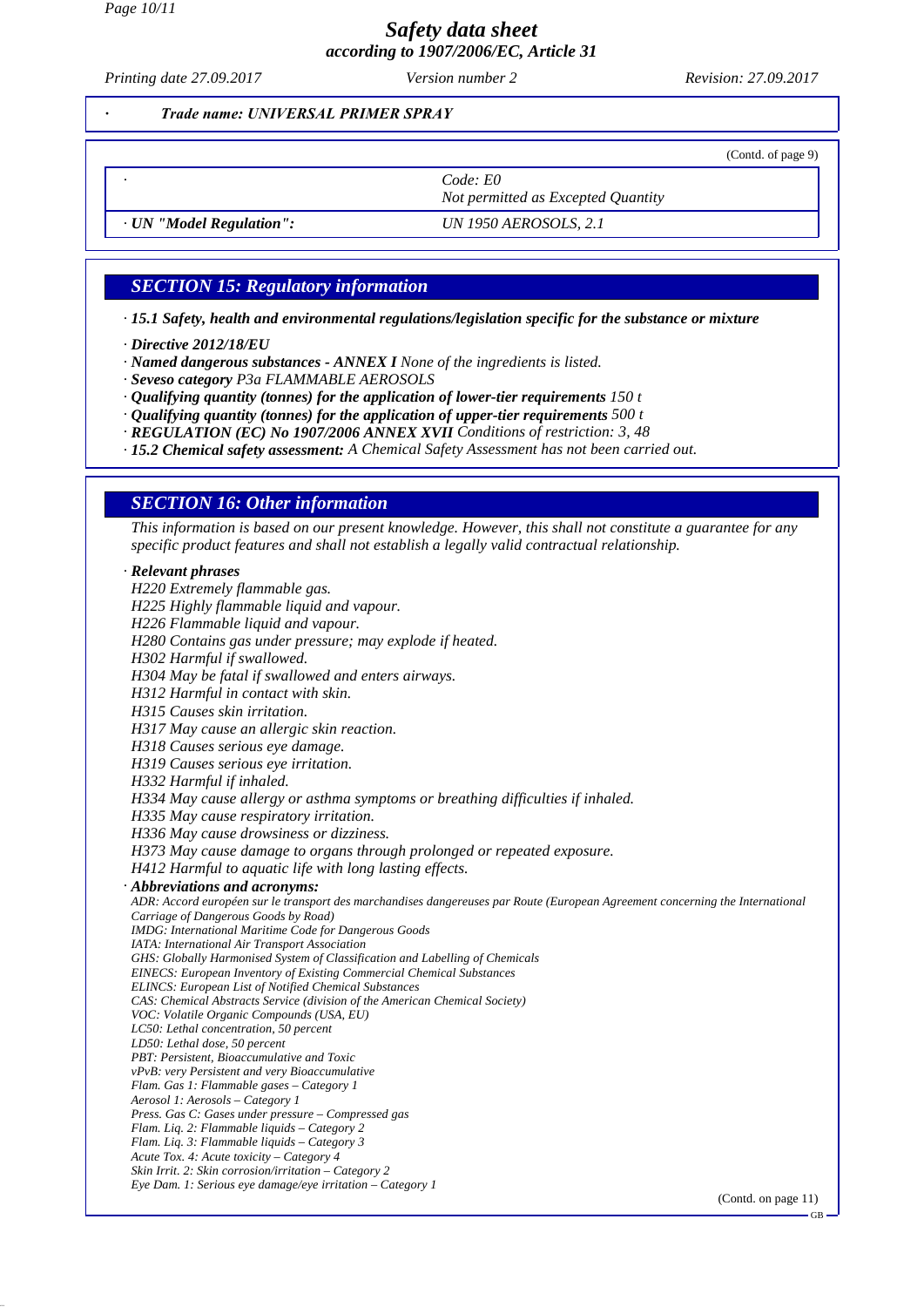*Printing date 27.09.2017 Version number 2 Revision: 27.09.2017*

*· Trade name: UNIVERSAL PRIMER SPRAY*

(Contd. of page 9)

GB

*· Code: E0 Not permitted as Excepted Quantity*

*· UN "Model Regulation": UN 1950 AEROSOLS, 2.1*

# *SECTION 15: Regulatory information*

*· 15.1 Safety, health and environmental regulations/legislation specific for the substance or mixture*

- *· Directive 2012/18/EU*
- *· Named dangerous substances ANNEX I None of the ingredients is listed.*
- *· Seveso category P3a FLAMMABLE AEROSOLS*
- *· Qualifying quantity (tonnes) for the application of lower-tier requirements 150 t*
- *· Qualifying quantity (tonnes) for the application of upper-tier requirements 500 t*
- *· REGULATION (EC) No 1907/2006 ANNEX XVII Conditions of restriction: 3, 48*
- *· 15.2 Chemical safety assessment: A Chemical Safety Assessment has not been carried out.*

## *SECTION 16: Other information*

*This information is based on our present knowledge. However, this shall not constitute a guarantee for any specific product features and shall not establish a legally valid contractual relationship.*

*· Relevant phrases H220 Extremely flammable gas. H225 Highly flammable liquid and vapour. H226 Flammable liquid and vapour. H280 Contains gas under pressure; may explode if heated. H302 Harmful if swallowed. H304 May be fatal if swallowed and enters airways. H312 Harmful in contact with skin. H315 Causes skin irritation. H317 May cause an allergic skin reaction. H318 Causes serious eye damage. H319 Causes serious eye irritation. H332 Harmful if inhaled. H334 May cause allergy or asthma symptoms or breathing difficulties if inhaled. H335 May cause respiratory irritation. H336 May cause drowsiness or dizziness. H373 May cause damage to organs through prolonged or repeated exposure. H412 Harmful to aquatic life with long lasting effects. · Abbreviations and acronyms: ADR: Accord européen sur le transport des marchandises dangereuses par Route (European Agreement concerning the International Carriage of Dangerous Goods by Road) IMDG: International Maritime Code for Dangerous Goods IATA: International Air Transport Association GHS: Globally Harmonised System of Classification and Labelling of Chemicals EINECS: European Inventory of Existing Commercial Chemical Substances ELINCS: European List of Notified Chemical Substances CAS: Chemical Abstracts Service (division of the American Chemical Society) VOC: Volatile Organic Compounds (USA, EU) LC50: Lethal concentration, 50 percent LD50: Lethal dose, 50 percent PBT: Persistent, Bioaccumulative and Toxic vPvB: very Persistent and very Bioaccumulative Flam. Gas 1: Flammable gases – Category 1 Aerosol 1: Aerosols – Category 1 Press. Gas C: Gases under pressure – Compressed gas Flam. Liq. 2: Flammable liquids – Category 2 Flam. Liq. 3: Flammable liquids – Category 3 Acute Tox. 4: Acute toxicity – Category 4 Skin Irrit. 2: Skin corrosion/irritation – Category 2 Eye Dam. 1: Serious eye damage/eye irritation – Category 1* (Contd. on page 11)